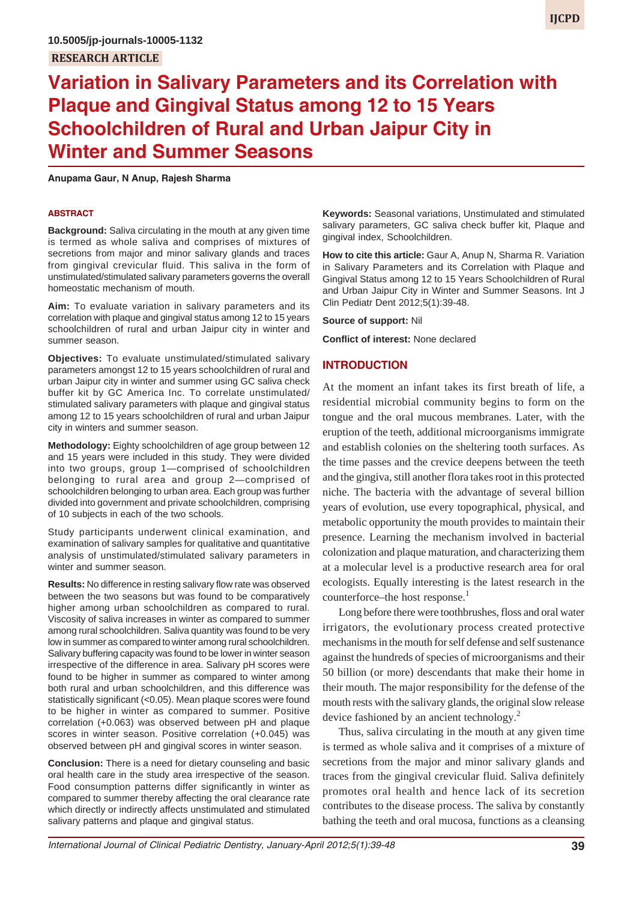# **Variation in Salivary Parameters and its Correlation with Plaque and Gingival Status among 12 to 15 Years Schoolchildren of Rural and Urban Jaipur City in Winter and Summer Seasons**

**Anupama Gaur, N Anup, Rajesh Sharma**

#### **ABSTRACT**

**Background:** Saliva circulating in the mouth at any given time is termed as whole saliva and comprises of mixtures of secretions from major and minor salivary glands and traces from gingival crevicular fluid. This saliva in the form of unstimulated/stimulated salivary parameters governs the overall homeostatic mechanism of mouth.

**Aim:** To evaluate variation in salivary parameters and its correlation with plaque and gingival status among 12 to 15 years schoolchildren of rural and urban Jaipur city in winter and summer season.

**Objectives:** To evaluate unstimulated/stimulated salivary parameters amongst 12 to 15 years schoolchildren of rural and urban Jaipur city in winter and summer using GC saliva check buffer kit by GC America Inc. To correlate unstimulated/ stimulated salivary parameters with plaque and gingival status among 12 to 15 years schoolchildren of rural and urban Jaipur city in winters and summer season.

**Methodology:** Eighty schoolchildren of age group between 12 and 15 years were included in this study. They were divided into two groups, group 1—comprised of schoolchildren belonging to rural area and group 2—comprised of schoolchildren belonging to urban area. Each group was further divided into government and private schoolchildren, comprising of 10 subjects in each of the two schools.

Study participants underwent clinical examination, and examination of salivary samples for qualitative and quantitative analysis of unstimulated/stimulated salivary parameters in winter and summer season.

**Results:** No difference in resting salivary flow rate was observed between the two seasons but was found to be comparatively higher among urban schoolchildren as compared to rural. Viscosity of saliva increases in winter as compared to summer among rural schoolchildren. Saliva quantity was found to be very low in summer as compared to winter among rural schoolchildren. Salivary buffering capacity was found to be lower in winter season irrespective of the difference in area. Salivary pH scores were found to be higher in summer as compared to winter among both rural and urban schoolchildren, and this difference was statistically significant (<0.05). Mean plaque scores were found to be higher in winter as compared to summer. Positive correlation (+0.063) was observed between pH and plaque scores in winter season. Positive correlation (+0.045) was observed between pH and gingival scores in winter season.

**Conclusion:** There is a need for dietary counseling and basic oral health care in the study area irrespective of the season. Food consumption patterns differ significantly in winter as compared to summer thereby affecting the oral clearance rate which directly or indirectly affects unstimulated and stimulated salivary patterns and plaque and gingival status.

**Keywords:** Seasonal variations, Unstimulated and stimulated salivary parameters, GC saliva check buffer kit, Plaque and gingival index, Schoolchildren.

**How to cite this article:** Gaur A, Anup N, Sharma R. Variation in Salivary Parameters and its Correlation with Plaque and Gingival Status among 12 to 15 Years Schoolchildren of Rural and Urban Jaipur City in Winter and Summer Seasons. Int J Clin Pediatr Dent 2012;5(1):39-48.

**Source of support:** Nil

**Conflict of interest:** None declared

#### **INTRODUCTION**

At the moment an infant takes its first breath of life, a residential microbial community begins to form on the tongue and the oral mucous membranes. Later, with the eruption of the teeth, additional microorganisms immigrate and establish colonies on the sheltering tooth surfaces. As the time passes and the crevice deepens between the teeth and the gingiva, still another flora takes root in this protected niche. The bacteria with the advantage of several billion years of evolution, use every topographical, physical, and metabolic opportunity the mouth provides to maintain their presence. Learning the mechanism involved in bacterial colonization and plaque maturation, and characterizing them at a molecular level is a productive research area for oral ecologists. Equally interesting is the latest research in the counterforce–the host response.<sup>1</sup>

Long before there were toothbrushes, floss and oral water irrigators, the evolutionary process created protective mechanisms in the mouth for self defense and self sustenance against the hundreds of species of microorganisms and their 50 billion (or more) descendants that make their home in their mouth. The major responsibility for the defense of the mouth rests with the salivary glands, the original slow release device fashioned by an ancient technology. $^{2}$ 

Thus, saliva circulating in the mouth at any given time is termed as whole saliva and it comprises of a mixture of secretions from the major and minor salivary glands and traces from the gingival crevicular fluid. Saliva definitely promotes oral health and hence lack of its secretion contributes to the disease process. The saliva by constantly bathing the teeth and oral mucosa, functions as a cleansing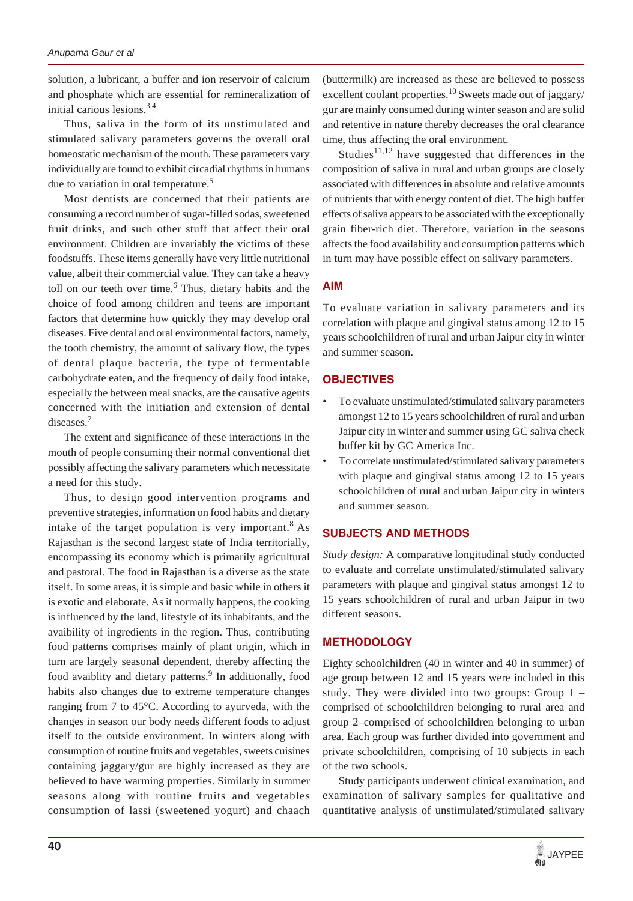solution, a lubricant, a buffer and ion reservoir of calcium and phosphate which are essential for remineralization of initial carious lesions.3,4

Thus, saliva in the form of its unstimulated and stimulated salivary parameters governs the overall oral homeostatic mechanism of the mouth. These parameters vary individually are found to exhibit circadial rhythms in humans due to variation in oral temperature.5

Most dentists are concerned that their patients are consuming a record number of sugar-filled sodas, sweetened fruit drinks, and such other stuff that affect their oral environment. Children are invariably the victims of these foodstuffs. These items generally have very little nutritional value, albeit their commercial value. They can take a heavy toll on our teeth over time.<sup>6</sup> Thus, dietary habits and the choice of food among children and teens are important factors that determine how quickly they may develop oral diseases. Five dental and oral environmental factors, namely, the tooth chemistry, the amount of salivary flow, the types of dental plaque bacteria, the type of fermentable carbohydrate eaten, and the frequency of daily food intake, especially the between meal snacks, are the causative agents concerned with the initiation and extension of dental diseases.<sup>7</sup>

The extent and significance of these interactions in the mouth of people consuming their normal conventional diet possibly affecting the salivary parameters which necessitate a need for this study.

Thus, to design good intervention programs and preventive strategies, information on food habits and dietary intake of the target population is very important.<sup>8</sup> As Rajasthan is the second largest state of India territorially, encompassing its economy which is primarily agricultural and pastoral. The food in Rajasthan is a diverse as the state itself. In some areas, it is simple and basic while in others it is exotic and elaborate. As it normally happens, the cooking is influenced by the land, lifestyle of its inhabitants, and the avaibility of ingredients in the region. Thus, contributing food patterns comprises mainly of plant origin, which in turn are largely seasonal dependent, thereby affecting the food avaiblity and dietary patterns.<sup>9</sup> In additionally, food habits also changes due to extreme temperature changes ranging from 7 to 45°C. According to ayurveda, with the changes in season our body needs different foods to adjust itself to the outside environment. In winters along with consumption of routine fruits and vegetables, sweets cuisines containing jaggary/gur are highly increased as they are believed to have warming properties. Similarly in summer seasons along with routine fruits and vegetables consumption of lassi (sweetened yogurt) and chaach

(buttermilk) are increased as these are believed to possess excellent coolant properties.<sup>10</sup> Sweets made out of jaggary/ gur are mainly consumed during winter season and are solid and retentive in nature thereby decreases the oral clearance time, thus affecting the oral environment.

Studies $11,12$  have suggested that differences in the composition of saliva in rural and urban groups are closely associated with differences in absolute and relative amounts of nutrients that with energy content of diet. The high buffer effects of saliva appears to be associated with the exceptionally grain fiber-rich diet. Therefore, variation in the seasons affects the food availability and consumption patterns which in turn may have possible effect on salivary parameters.

### **AIM**

To evaluate variation in salivary parameters and its correlation with plaque and gingival status among 12 to 15 years schoolchildren of rural and urban Jaipur city in winter and summer season.

### **OBJECTIVES**

- To evaluate unstimulated/stimulated salivary parameters amongst 12 to 15 years schoolchildren of rural and urban Jaipur city in winter and summer using GC saliva check buffer kit by GC America Inc.
- To correlate unstimulated/stimulated salivary parameters with plaque and gingival status among 12 to 15 years schoolchildren of rural and urban Jaipur city in winters and summer season.

### **SUBJECTS AND METHODS**

*Study design:* A comparative longitudinal study conducted to evaluate and correlate unstimulated/stimulated salivary parameters with plaque and gingival status amongst 12 to 15 years schoolchildren of rural and urban Jaipur in two different seasons.

### **METHODOLOGY**

Eighty schoolchildren (40 in winter and 40 in summer) of age group between 12 and 15 years were included in this study. They were divided into two groups: Group 1 – comprised of schoolchildren belonging to rural area and group 2–comprised of schoolchildren belonging to urban area. Each group was further divided into government and private schoolchildren, comprising of 10 subjects in each of the two schools.

Study participants underwent clinical examination, and examination of salivary samples for qualitative and quantitative analysis of unstimulated/stimulated salivary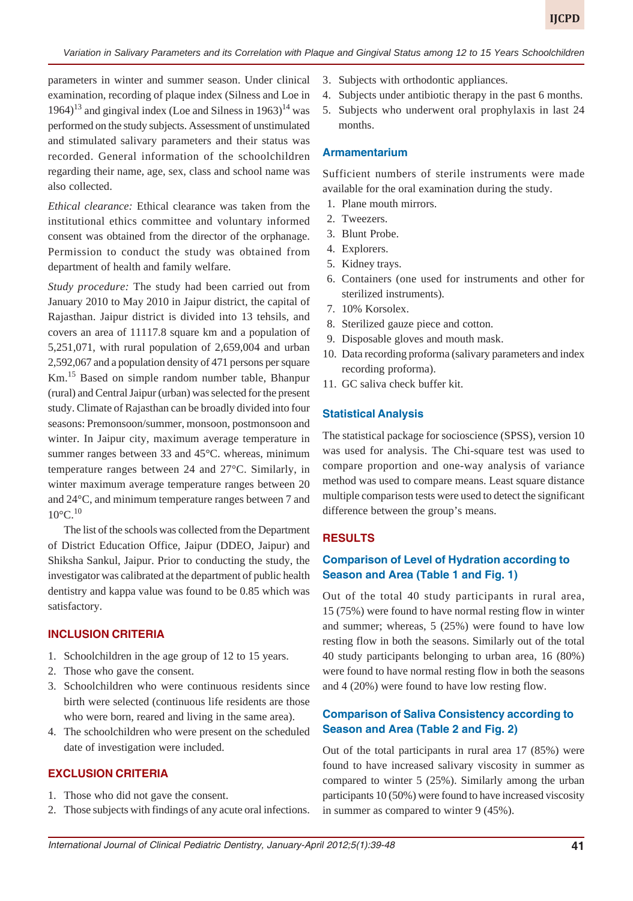parameters in winter and summer season. Under clinical examination, recording of plaque index (Silness and Loe in  $1964$ <sup>13</sup> and gingival index (Loe and Silness in  $1963$ )<sup>14</sup> was performed on the study subjects. Assessment of unstimulated and stimulated salivary parameters and their status was recorded. General information of the schoolchildren regarding their name, age, sex, class and school name was also collected.

*Ethical clearance:* Ethical clearance was taken from the institutional ethics committee and voluntary informed consent was obtained from the director of the orphanage. Permission to conduct the study was obtained from department of health and family welfare.

*Study procedure:* The study had been carried out from January 2010 to May 2010 in Jaipur district, the capital of Rajasthan. Jaipur district is divided into 13 tehsils, and covers an area of 11117.8 square km and a population of 5,251,071, with rural population of 2,659,004 and urban 2,592,067 and a population density of 471 persons per square Km.15 Based on simple random number table, Bhanpur (rural) and Central Jaipur (urban) was selected for the present study. Climate of Rajasthan can be broadly divided into four seasons: Premonsoon/summer, monsoon, postmonsoon and winter. In Jaipur city, maximum average temperature in summer ranges between 33 and 45°C. whereas, minimum temperature ranges between 24 and 27°C. Similarly, in winter maximum average temperature ranges between 20 and 24°C, and minimum temperature ranges between 7 and  $10^{\circ}$ C $10^{\circ}$ 

The list of the schools was collected from the Department of District Education Office, Jaipur (DDEO, Jaipur) and Shiksha Sankul, Jaipur. Prior to conducting the study, the investigator was calibrated at the department of public health dentistry and kappa value was found to be 0.85 which was satisfactory.

### **INCLUSION CRITERIA**

- 1. Schoolchildren in the age group of 12 to 15 years.
- 2. Those who gave the consent.
- 3. Schoolchildren who were continuous residents since birth were selected (continuous life residents are those who were born, reared and living in the same area).
- 4. The schoolchildren who were present on the scheduled date of investigation were included.

### **EXCLUSION CRITERIA**

- 1. Those who did not gave the consent.
- 2. Those subjects with findings of any acute oral infections.
- 3. Subjects with orthodontic appliances.
- 4. Subjects under antibiotic therapy in the past 6 months.
- 5. Subjects who underwent oral prophylaxis in last 24 months.

#### **Armamentarium**

Sufficient numbers of sterile instruments were made available for the oral examination during the study.

- 1. Plane mouth mirrors.
- 2. Tweezers.
- 3. Blunt Probe.
- 4. Explorers.
- 5. Kidney trays.
- 6. Containers (one used for instruments and other for sterilized instruments).
- 7. 10% Korsolex.
- 8. Sterilized gauze piece and cotton.
- 9. Disposable gloves and mouth mask.
- 10. Data recording proforma (salivary parameters and index recording proforma).
- 11. GC saliva check buffer kit.

#### **Statistical Analysis**

The statistical package for socioscience (SPSS), version 10 was used for analysis. The Chi-square test was used to compare proportion and one-way analysis of variance method was used to compare means. Least square distance multiple comparison tests were used to detect the significant difference between the group's means.

#### **RESULTS**

### **Comparison of Level of Hydration according to Season and Area (Table 1 and Fig. 1)**

Out of the total 40 study participants in rural area, 15 (75%) were found to have normal resting flow in winter and summer; whereas, 5 (25%) were found to have low resting flow in both the seasons. Similarly out of the total 40 study participants belonging to urban area, 16 (80%) were found to have normal resting flow in both the seasons and 4 (20%) were found to have low resting flow.

### **Comparison of Saliva Consistency according to Season and Area (Table 2 and Fig. 2)**

Out of the total participants in rural area 17 (85%) were found to have increased salivary viscosity in summer as compared to winter 5 (25%). Similarly among the urban participants 10 (50%) were found to have increased viscosity in summer as compared to winter 9 (45%).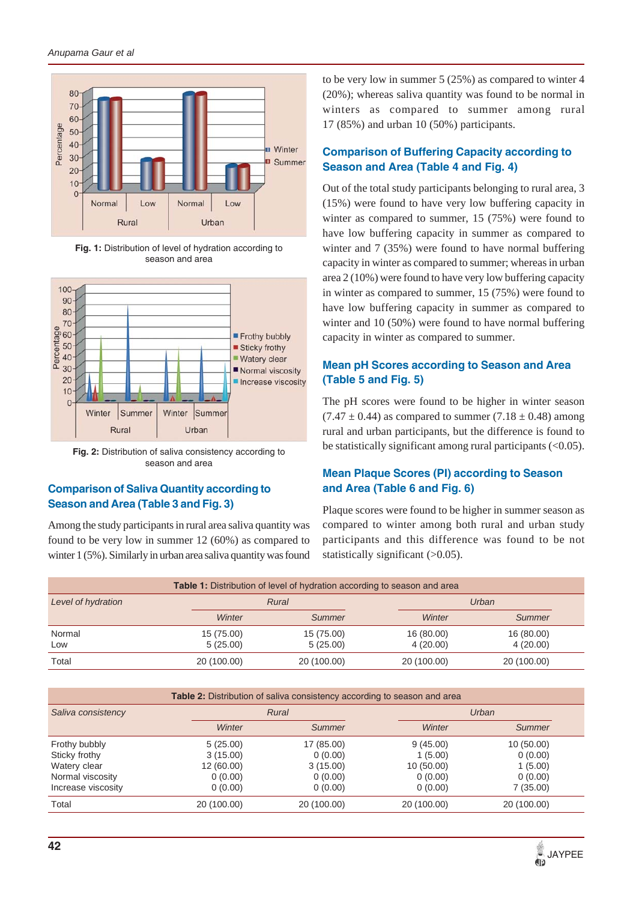

Fig. 1: Distribution of level of hydration according to season and area



**Fig. 2:** Distribution of saliva consistency according to season and area

### **Comparison of Saliva Quantity according to Season and Area (Table 3 and Fig. 3)**

Among the study participants in rural area saliva quantity was found to be very low in summer 12 (60%) as compared to winter 1 (5%). Similarly in urban area saliva quantity was found to be very low in summer 5 (25%) as compared to winter 4 (20%); whereas saliva quantity was found to be normal in winters as compared to summer among rural 17 (85%) and urban 10 (50%) participants.

# **Comparison of Buffering Capacity according to Season and Area (Table 4 and Fig. 4)**

Out of the total study participants belonging to rural area, 3 (15%) were found to have very low buffering capacity in winter as compared to summer, 15 (75%) were found to have low buffering capacity in summer as compared to winter and 7 (35%) were found to have normal buffering capacity in winter as compared to summer; whereas in urban area 2 (10%) were found to have very low buffering capacity in winter as compared to summer, 15 (75%) were found to have low buffering capacity in summer as compared to winter and 10 (50%) were found to have normal buffering capacity in winter as compared to summer.

## **Mean pH Scores according to Season and Area (Table 5 and Fig. 5)**

The pH scores were found to be higher in winter season  $(7.47 \pm 0.44)$  as compared to summer  $(7.18 \pm 0.48)$  among rural and urban participants, but the difference is found to be statistically significant among rural participants  $( $0.05$ ).$ 

### **Mean Plaque Scores (PI) according to Season and Area (Table 6 and Fig. 6)**

Plaque scores were found to be higher in summer season as compared to winter among both rural and urban study participants and this difference was found to be not statistically significant (>0.05).

|                    |                        | <b>Table 1:</b> Distribution of level of hydration according to season and area |                        |                        |  |  |
|--------------------|------------------------|---------------------------------------------------------------------------------|------------------------|------------------------|--|--|
| Level of hydration |                        | Urban<br>Rural                                                                  |                        |                        |  |  |
|                    | Winter                 | Summer                                                                          | Winter                 | Summer                 |  |  |
| Normal<br>Low      | 15 (75.00)<br>5(25.00) | 15 (75.00)<br>5(25.00)                                                          | 16 (80.00)<br>4(20.00) | 16 (80.00)<br>4(20.00) |  |  |
| Total              | 20 (100.00)            | 20 (100.00)                                                                     | 20 (100.00)            | 20 (100.00)            |  |  |

| Table 2: Distribution of saliva consistency according to season and area |             |             |             |             |
|--------------------------------------------------------------------------|-------------|-------------|-------------|-------------|
| Saliva consistency                                                       |             | Rural       |             | Urban       |
|                                                                          | Winter      | Summer      | Winter      | Summer      |
| Frothy bubbly                                                            | 5(25.00)    | 17 (85.00)  | 9(45.00)    | 10(50.00)   |
| Sticky frothy                                                            | 3(15.00)    | 0(0.00)     | 1(5.00)     | 0(0.00)     |
| Watery clear                                                             | 12 (60.00)  | 3(15.00)    | 10(50.00)   | 1(5.00)     |
| Normal viscosity                                                         | 0(0.00)     | 0(0.00)     | 0(0.00)     | 0(0.00)     |
| Increase viscosity                                                       | 0(0.00)     | 0(0.00)     | 0(0.00)     | 7(35.00)    |
| Total                                                                    | 20 (100.00) | 20 (100.00) | 20 (100.00) | 20 (100.00) |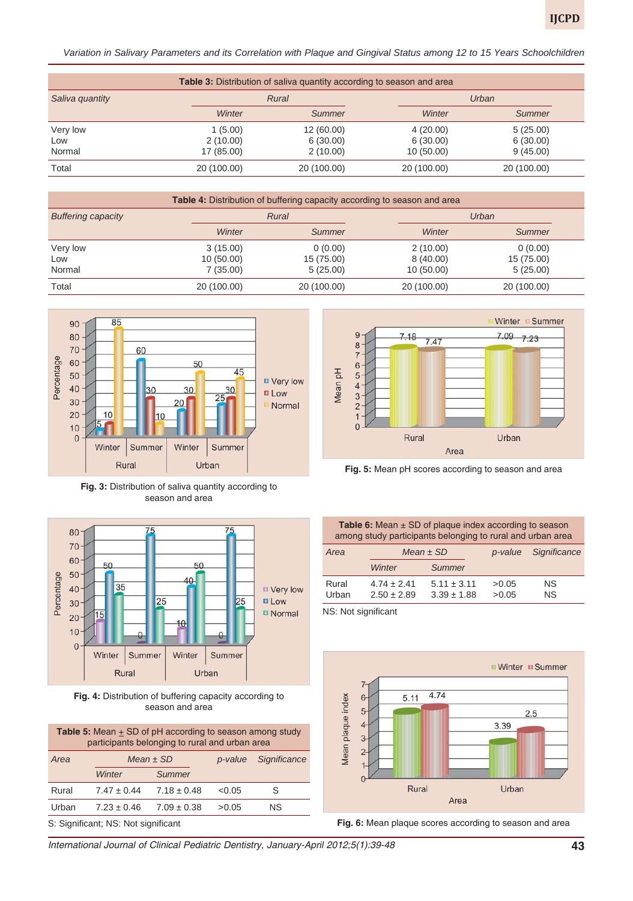*Variation in Salivary Parameters and its Correlation with Plaque and Gingival Status among 12 to 15 Years Schoolchildren*

| <b>Table 3:</b> Distribution of saliva quantity according to season and area |                |             |             |             |
|------------------------------------------------------------------------------|----------------|-------------|-------------|-------------|
| Saliva quantity                                                              | Urban<br>Rural |             |             |             |
|                                                                              | Winter         | Summer      | Winter      | Summer      |
| Very low                                                                     | 1(5.00)        | 12 (60.00)  | 4(20.00)    | 5(25.00)    |
| Low                                                                          | 2(10.00)       | 6(30.00)    | 6(30.00)    | 6(30.00)    |
| Normal                                                                       | 17 (85.00)     | 2(10.00)    | 10(50.00)   | 9(45.00)    |
| Total                                                                        | 20 (100.00)    | 20 (100.00) | 20 (100.00) | 20 (100.00) |

| Table 4: Distribution of buffering capacity according to season and area |             |             |             |             |
|--------------------------------------------------------------------------|-------------|-------------|-------------|-------------|
| <b>Buffering capacity</b>                                                | Rural       | Urban       |             |             |
|                                                                          | Winter      | Summer      | Winter      | Summer      |
| Very low                                                                 | 3(15.00)    | 0(0.00)     | 2(10.00)    | 0(0.00)     |
| Low                                                                      | 10(50.00)   | 15 (75.00)  | 8(40.00)    | 15 (75.00)  |
| Normal                                                                   | 7(35.00)    | 5(25.00)    | 10(50.00)   | 5(25.00)    |
| Total                                                                    | 20 (100.00) | 20 (100.00) | 20 (100.00) | 20 (100.00) |



**Fig. 3:** Distribution of saliva quantity according to season and area



**Fig. 4:** Distribution of buffering capacity according to season and area

| <b>Table 5:</b> Mean $\pm$ SD of pH according to season among study<br>participants belonging to rural and urban area |                          |                 |        |                                     |  |  |  |  |
|-----------------------------------------------------------------------------------------------------------------------|--------------------------|-----------------|--------|-------------------------------------|--|--|--|--|
| Area                                                                                                                  | Mean $\pm$ SD<br>p-value |                 |        | Significance                        |  |  |  |  |
|                                                                                                                       | Winter                   | Summer          |        |                                     |  |  |  |  |
| Rural                                                                                                                 | $7.47 \pm 0.44$          | $7.18 \pm 0.48$ | < 0.05 | S                                   |  |  |  |  |
| ΝS<br>Urban<br>$7.23 \pm 0.46$<br>$7.09 \pm 0.38$<br>>0.05                                                            |                          |                 |        |                                     |  |  |  |  |
|                                                                                                                       |                          |                 |        | S: Significant; NS: Not significant |  |  |  |  |



**Fig. 5:** Mean pH scores according to season and area

Table 6: Mean ± SD of plaque index according to season among study participants belonging to rural and urban area

| Area  | Mean $\pm$ SD   |                 | p-value | Significance |
|-------|-----------------|-----------------|---------|--------------|
|       | Winter          | Summer          |         |              |
| Rural | $4.74 \pm 2.41$ | $5.11 \pm 3.11$ | >0.05   | ΝS           |
| Urban | $2.50 \pm 2.89$ | $3.39 \pm 1.88$ | >0.05   | ΝS           |

NS: Not significant



**Fig. 6:** Mean plaque scores according to season and area

*International Journal of Clinical Pediatric Dentistry, January-April 2012;5(1):39-48* **43**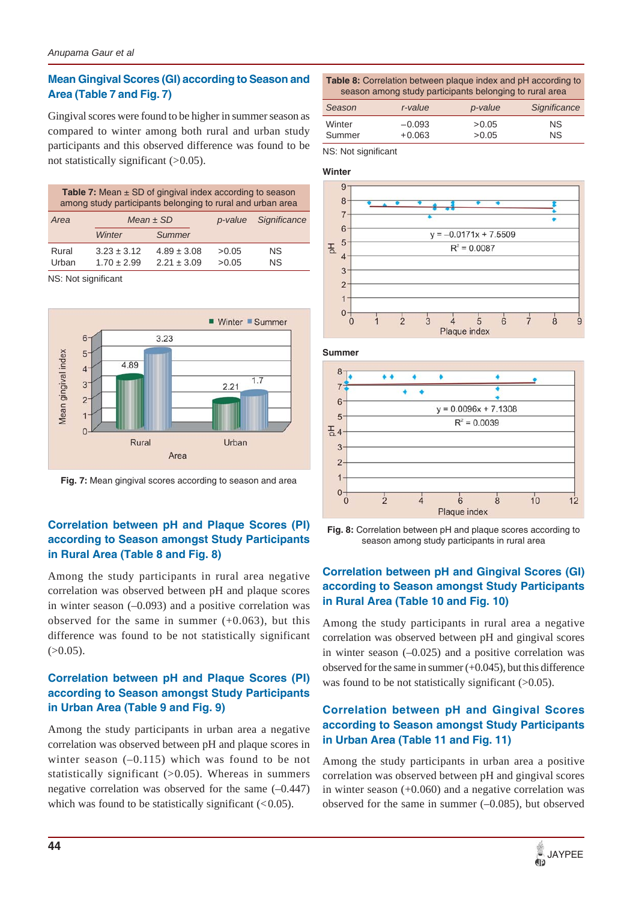### **Mean Gingival Scores (GI) according to Season and Area (Table 7 and Fig. 7)**

Gingival scores were found to be higher in summer season as compared to winter among both rural and urban study participants and this observed difference was found to be not statistically significant  $(>0.05)$ .

| <b>Table 7:</b> Mean $\pm$ SD of gingival index according to season<br>among study participants belonging to rural and urban area |                                    |                                    |                |                 |  |
|-----------------------------------------------------------------------------------------------------------------------------------|------------------------------------|------------------------------------|----------------|-----------------|--|
| Area                                                                                                                              | Mean $\pm$ SD                      |                                    | p-value        | Significance    |  |
|                                                                                                                                   | Winter                             | Summer                             |                |                 |  |
| Rural<br>Urban                                                                                                                    | $3.23 \pm 3.12$<br>$1.70 \pm 2.99$ | $4.89 \pm 3.08$<br>$2.21 \pm 3.09$ | >0.05<br>>0.05 | ΝS<br><b>NS</b> |  |

NS: Not significant



**Fig. 7:** Mean gingival scores according to season and area

# **Correlation between pH and Plaque Scores (PI) according to Season amongst Study Participants in Rural Area (Table 8 and Fig. 8)**

Among the study participants in rural area negative correlation was observed between pH and plaque scores in winter season  $(-0.093)$  and a positive correlation was observed for the same in summer  $(+0.063)$ , but this difference was found to be not statistically significant  $(>0.05)$ .

## **Correlation between pH and Plaque Scores (PI) according to Season amongst Study Participants in Urban Area (Table 9 and Fig. 9)**

Among the study participants in urban area a negative correlation was observed between pH and plaque scores in winter season (–0.115) which was found to be not statistically significant  $(>0.05)$ . Whereas in summers negative correlation was observed for the same (–0.447) which was found to be statistically significant  $(< 0.05)$ .

| <b>Table 8:</b> Correlation between plaque index and pH according to |  |
|----------------------------------------------------------------------|--|
| season among study participants belonging to rural area              |  |

| Season | r-value  | p-value | Significance |
|--------|----------|---------|--------------|
| Winter | $-0.093$ | > 0.05  | NS.          |
| Summer | $+0.063$ | > 0.05  | NS.          |

NS: Not significant



**Summer**



**Fig. 8:** Correlation between pH and plaque scores according to season among study participants in rural area

# **Correlation between pH and Gingival Scores (GI) according to Season amongst Study Participants in Rural Area (Table 10 and Fig. 10)**

Among the study participants in rural area a negative correlation was observed between pH and gingival scores in winter season  $(-0.025)$  and a positive correlation was observed for the same in summer (+0.045), but this difference was found to be not statistically significant  $(>0.05)$ .

# **Correlation between pH and Gingival Scores according to Season amongst Study Participants in Urban Area (Table 11 and Fig. 11)**

Among the study participants in urban area a positive correlation was observed between pH and gingival scores in winter season (+0.060) and a negative correlation was observed for the same in summer  $(-0.085)$ , but observed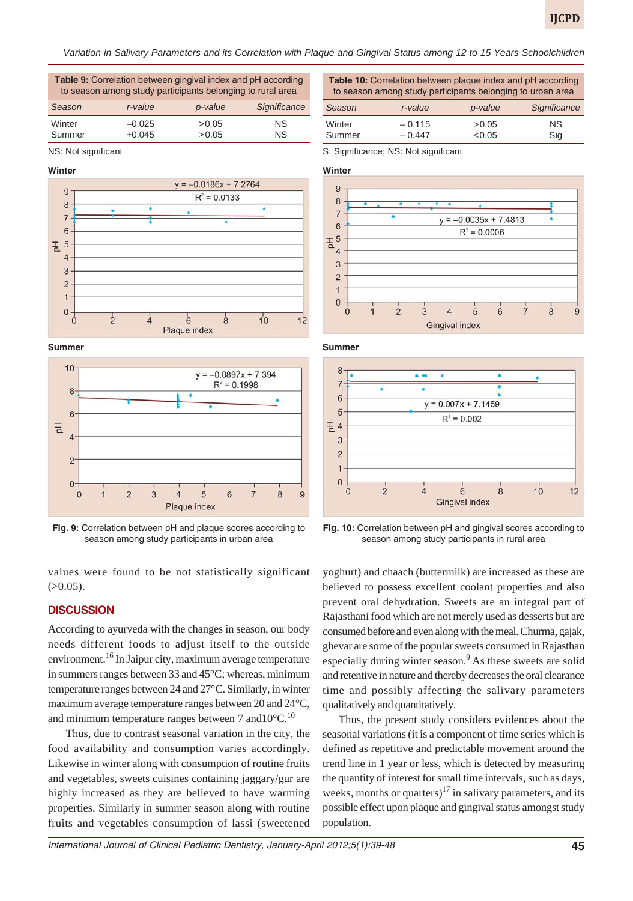*Variation in Salivary Parameters and its Correlation with Plaque and Gingival Status among 12 to 15 Years Schoolchildren*

**Table 9:** Correlation between gingival index and pH according to season among study participants belonging to rural area

| Season           | r-value              | p-value          | Significance     |
|------------------|----------------------|------------------|------------------|
| Winter<br>Summer | $-0.025$<br>$+0.045$ | > 0.05<br>> 0.05 | <b>NS</b><br>NS. |
|                  |                      |                  |                  |

NS: Not significant









**Fig. 9:** Correlation between pH and plaque scores according to season among study participants in urban area

values were found to be not statistically significant  $(>0.05)$ .

#### **DISCUSSION**

According to ayurveda with the changes in season, our body needs different foods to adjust itself to the outside environment.<sup>16</sup> In Jaipur city, maximum average temperature in summers ranges between 33 and 45°C; whereas, minimum temperature ranges between 24 and 27°C. Similarly, in winter maximum average temperature ranges between 20 and 24°C, and minimum temperature ranges between 7 and  $10^{\circ}$ C.<sup>10</sup>

Thus, due to contrast seasonal variation in the city, the food availability and consumption varies accordingly. Likewise in winter along with consumption of routine fruits and vegetables, sweets cuisines containing jaggary/gur are highly increased as they are believed to have warming properties. Similarly in summer season along with routine fruits and vegetables consumption of lassi (sweetened **Table 10:** Correlation between plaque index and pH according to season among study participants belonging to urban area

| Season | r-value  | p-value | Significance |
|--------|----------|---------|--------------|
| Winter | $-0.115$ | > 0.05  | NS.          |
| Summer | $-0.447$ | < 0.05  | Sig          |

S: Significance; NS: Not significant

#### **Winter**



**Summer**



**Fig. 10:** Correlation between pH and gingival scores according to season among study participants in rural area

yoghurt) and chaach (buttermilk) are increased as these are believed to possess excellent coolant properties and also prevent oral dehydration. Sweets are an integral part of Rajasthani food which are not merely used as desserts but are consumed before and even along with the meal. Churma, gajak, ghevar are some of the popular sweets consumed in Rajasthan especially during winter season.<sup>9</sup> As these sweets are solid and retentive in nature and thereby decreases the oral clearance time and possibly affecting the salivary parameters qualitatively and quantitatively.

Thus, the present study considers evidences about the seasonal variations (it is a component of time series which is defined as repetitive and predictable movement around the trend line in 1 year or less, which is detected by measuring the quantity of interest for small time intervals, such as days, weeks, months or quarters)<sup>17</sup> in salivary parameters, and its possible effect upon plaque and gingival status amongst study population.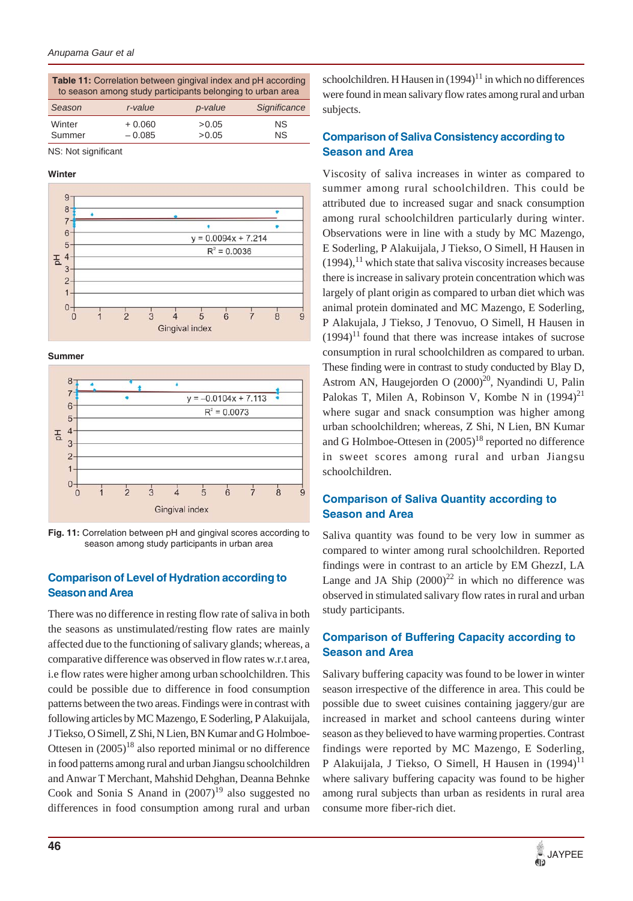**Table 11:** Correlation between gingival index and pH according to season among study participants belonging to urban area

| Season | r-value  | p-value | Significance |
|--------|----------|---------|--------------|
| Winter | $+0.060$ | >0.05   | NS.          |
| Summer | $-0.085$ | > 0.05  | NS.          |

NS: Not significant

#### **Winter**



**Summer**



**Fig. 11:** Correlation between pH and gingival scores according to season among study participants in urban area

### **Comparison of Level of Hydration according to Season and Area**

There was no difference in resting flow rate of saliva in both the seasons as unstimulated/resting flow rates are mainly affected due to the functioning of salivary glands; whereas, a comparative difference was observed in flow rates w.r.t area, i.e flow rates were higher among urban schoolchildren. This could be possible due to difference in food consumption patterns between the two areas. Findings were in contrast with following articles by MC Mazengo, E Soderling, P Alakuijala, J Tiekso, O Simell, Z Shi, N Lien, BN Kumar and G Holmboe-Ottesen in  $(2005)^{18}$  also reported minimal or no difference in food patterns among rural and urban Jiangsu schoolchildren and Anwar T Merchant, Mahshid Dehghan, Deanna Behnke Cook and Sonia S Anand in  $(2007)^{19}$  also suggested no differences in food consumption among rural and urban

schoolchildren. H Hausen in  $(1994)^{11}$  in which no differences were found in mean salivary flow rates among rural and urban subjects.

### **Comparison of Saliva Consistency according to Season and Area**

Viscosity of saliva increases in winter as compared to summer among rural schoolchildren. This could be attributed due to increased sugar and snack consumption among rural schoolchildren particularly during winter. Observations were in line with a study by MC Mazengo, E Soderling, P Alakuijala, J Tiekso, O Simell, H Hausen in  $(1994)$ ,<sup>11</sup> which state that saliva viscosity increases because there is increase in salivary protein concentration which was largely of plant origin as compared to urban diet which was animal protein dominated and MC Mazengo, E Soderling, P Alakujala, J Tiekso, J Tenovuo, O Simell, H Hausen in  $(1994)^{11}$  found that there was increase intakes of sucrose consumption in rural schoolchildren as compared to urban. These finding were in contrast to study conducted by Blay D, Astrom AN, Haugejorden O  $(2000)^{20}$ , Nyandindi U, Palin Palokas T, Milen A, Robinson V, Kombe N in  $(1994)^{21}$ where sugar and snack consumption was higher among urban schoolchildren; whereas, Z Shi, N Lien, BN Kumar and G Holmboe-Ottesen in  $(2005)^{18}$  reported no difference in sweet scores among rural and urban Jiangsu schoolchildren.

### **Comparison of Saliva Quantity according to Season and Area**

Saliva quantity was found to be very low in summer as compared to winter among rural schoolchildren. Reported findings were in contrast to an article by EM GhezzI, LA Lange and JA Ship  $(2000)^{22}$  in which no difference was observed in stimulated salivary flow rates in rural and urban study participants.

### **Comparison of Buffering Capacity according to Season and Area**

Salivary buffering capacity was found to be lower in winter season irrespective of the difference in area. This could be possible due to sweet cuisines containing jaggery/gur are increased in market and school canteens during winter season as they believed to have warming properties. Contrast findings were reported by MC Mazengo, E Soderling, P Alakuijala, J Tiekso, O Simell, H Hausen in  $(1994)^{11}$ where salivary buffering capacity was found to be higher among rural subjects than urban as residents in rural area consume more fiber-rich diet.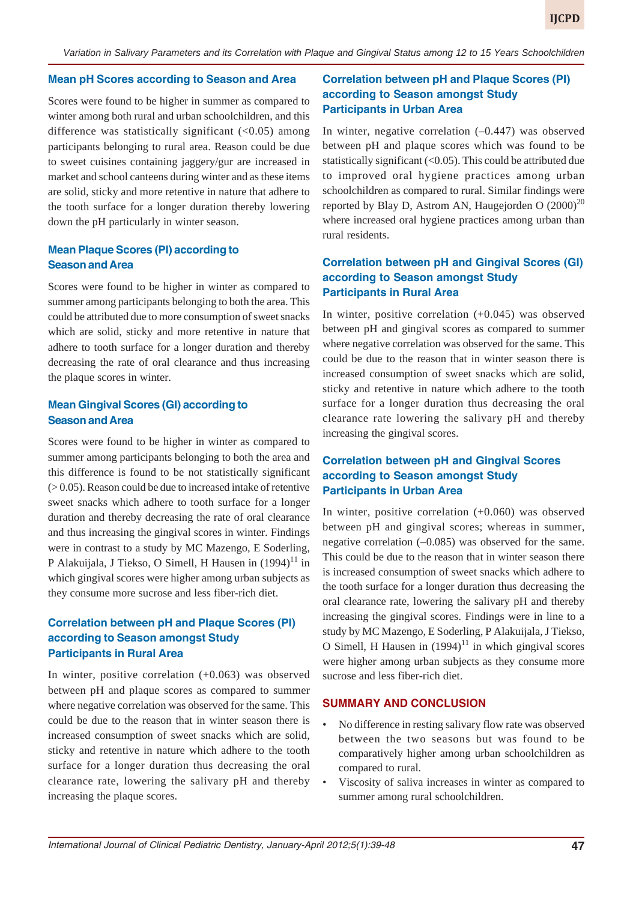#### **Mean pH Scores according to Season and Area**

Scores were found to be higher in summer as compared to winter among both rural and urban schoolchildren, and this difference was statistically significant  $( $0.05$ ) among$ participants belonging to rural area. Reason could be due to sweet cuisines containing jaggery/gur are increased in market and school canteens during winter and as these items are solid, sticky and more retentive in nature that adhere to the tooth surface for a longer duration thereby lowering down the pH particularly in winter season.

### **Mean Plaque Scores (PI) according to Season and Area**

Scores were found to be higher in winter as compared to summer among participants belonging to both the area. This could be attributed due to more consumption of sweet snacks which are solid, sticky and more retentive in nature that adhere to tooth surface for a longer duration and thereby decreasing the rate of oral clearance and thus increasing the plaque scores in winter.

### **Mean Gingival Scores (GI) according to Season and Area**

Scores were found to be higher in winter as compared to summer among participants belonging to both the area and this difference is found to be not statistically significant  $(0.05)$ . Reason could be due to increased intake of retentive sweet snacks which adhere to tooth surface for a longer duration and thereby decreasing the rate of oral clearance and thus increasing the gingival scores in winter. Findings were in contrast to a study by MC Mazengo, E Soderling, P Alakuijala, J Tiekso, O Simell, H Hausen in  $(1994)^{11}$  in which gingival scores were higher among urban subjects as they consume more sucrose and less fiber-rich diet.

### **Correlation between pH and Plaque Scores (PI) according to Season amongst Study Participants in Rural Area**

In winter, positive correlation (+0.063) was observed between pH and plaque scores as compared to summer where negative correlation was observed for the same. This could be due to the reason that in winter season there is increased consumption of sweet snacks which are solid, sticky and retentive in nature which adhere to the tooth surface for a longer duration thus decreasing the oral clearance rate, lowering the salivary pH and thereby increasing the plaque scores.

### **Correlation between pH and Plaque Scores (PI) according to Season amongst Study Participants in Urban Area**

In winter, negative correlation  $(-0.447)$  was observed between pH and plaque scores which was found to be statistically significant  $( $0.05$ ). This could be attributed due$ to improved oral hygiene practices among urban schoolchildren as compared to rural. Similar findings were reported by Blay D, Astrom AN, Haugejorden O  $(2000)^{20}$ where increased oral hygiene practices among urban than rural residents.

### **Correlation between pH and Gingival Scores (GI) according to Season amongst Study Participants in Rural Area**

In winter, positive correlation (+0.045) was observed between pH and gingival scores as compared to summer where negative correlation was observed for the same. This could be due to the reason that in winter season there is increased consumption of sweet snacks which are solid, sticky and retentive in nature which adhere to the tooth surface for a longer duration thus decreasing the oral clearance rate lowering the salivary pH and thereby increasing the gingival scores.

### **Correlation between pH and Gingival Scores according to Season amongst Study Participants in Urban Area**

In winter, positive correlation (+0.060) was observed between pH and gingival scores; whereas in summer, negative correlation (–0.085) was observed for the same. This could be due to the reason that in winter season there is increased consumption of sweet snacks which adhere to the tooth surface for a longer duration thus decreasing the oral clearance rate, lowering the salivary pH and thereby increasing the gingival scores. Findings were in line to a study by MC Mazengo, E Soderling, P Alakuijala, J Tiekso, O Simell, H Hausen in  $(1994)^{11}$  in which gingival scores were higher among urban subjects as they consume more sucrose and less fiber-rich diet.

#### **SUMMARY AND CONCLUSION**

- No difference in resting salivary flow rate was observed between the two seasons but was found to be comparatively higher among urban schoolchildren as compared to rural.
- Viscosity of saliva increases in winter as compared to summer among rural schoolchildren.